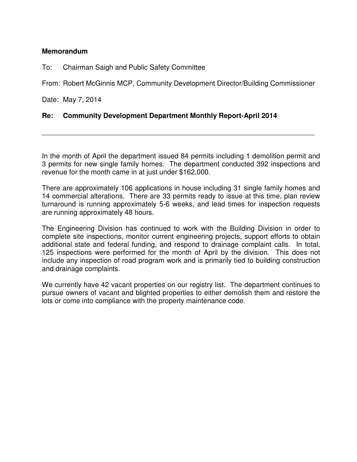## **Memorandum**

To: Chairman Saigh and Public Safety Committee

From: Robert McGinnis MCP, Community Development Director/Building Commissioner

Date: May 7, 2014

## **Re: Community Development Department Monthly Report-April 2014**

In the month of April the department issued 84 permits including 1 demolition permit and 3 permits for new single family homes. The department conducted 392 inspections and revenue for the month came in at just under \$162,000.

\_\_\_\_\_\_\_\_\_\_\_\_\_\_\_\_\_\_\_\_\_\_\_\_\_\_\_\_\_\_\_\_\_\_\_\_\_\_\_\_\_\_\_\_\_\_\_\_\_\_\_\_\_\_\_\_\_\_\_\_\_\_\_\_\_\_\_\_\_\_

There are approximately 106 applications in house including 31 single family homes and 14 commercial alterations. There are 33 permits ready to issue at this time, plan review turnaround is running approximately 5-6 weeks, and lead times for inspection requests are running approximately 48 hours.

The Engineering Division has continued to work with the Building Division in order to complete site inspections, monitor current engineering projects, support efforts to obtain additional state and federal funding, and respond to drainage complaint calls. In total, 125 inspections were performed for the month of April by the division. This does not include any inspection of road program work and is primarily tied to building construction and drainage complaints.

We currently have 42 vacant properties on our registry list. The department continues to pursue owners of vacant and blighted properties to either demolish them and restore the lots or come into compliance with the property maintenance code.